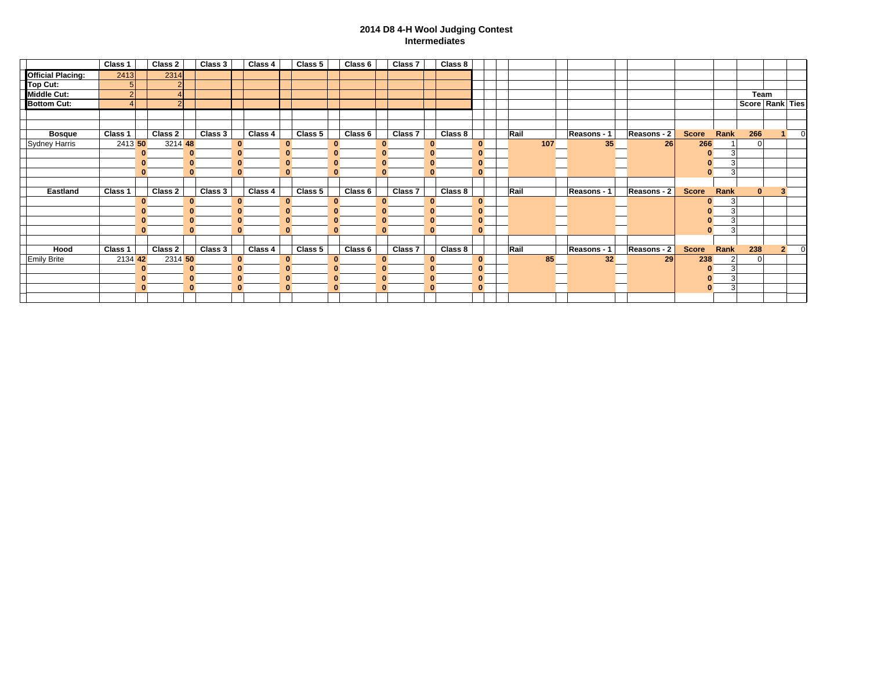## **2014 D8 4-H Wool Judging Contest Intermediates**

|                          | Class 1        |              | Class 2        | Class 3 |              | Class 4 |              | Class 5 |              | Class 6 |              | Class 7 |          | Class 8 |          |      |     |             |             |              |        |                 |                |          |
|--------------------------|----------------|--------------|----------------|---------|--------------|---------|--------------|---------|--------------|---------|--------------|---------|----------|---------|----------|------|-----|-------------|-------------|--------------|--------|-----------------|----------------|----------|
| <b>Official Placing:</b> | 2413           |              | 2314           |         |              |         |              |         |              |         |              |         |          |         |          |      |     |             |             |              |        |                 |                |          |
| Top Cut:                 | 5              |              | ົ              |         |              |         |              |         |              |         |              |         |          |         |          |      |     |             |             |              |        |                 |                |          |
| <b>Middle Cut:</b>       |                |              |                |         |              |         |              |         |              |         |              |         |          |         |          |      |     |             |             |              |        | Team            |                |          |
| <b>Bottom Cut:</b>       | $\overline{4}$ |              | $\overline{2}$ |         |              |         |              |         |              |         |              |         |          |         |          |      |     |             |             |              |        | Score Rank Ties |                |          |
|                          |                |              |                |         |              |         |              |         |              |         |              |         |          |         |          |      |     |             |             |              |        |                 |                |          |
|                          |                |              |                |         |              |         |              |         |              |         |              |         |          |         |          |      |     |             |             |              |        |                 |                |          |
| <b>Bosque</b>            | Class 1        |              | Class 2        | Class 3 |              | Class 4 |              | Class 5 |              | Class 6 |              | Class 7 |          | Class 8 |          | Rail |     | Reasons - 1 | Reasons - 2 | <b>Score</b> | Rank   | 266             |                | $\Omega$ |
| Sydney Harris            | 2413 50        |              | 3214 48        |         |              |         | $\bf{0}$     |         | o            |         | $\bf{0}$     |         | $\bf{0}$ |         | $\bf{0}$ |      | 107 | 35          | 26          | 266          |        | $\Omega$        |                |          |
|                          |                | $\bf{0}$     | $\mathbf{0}$   |         | $\mathbf{0}$ |         | $\bf{0}$     |         | $\mathbf{0}$ |         | $\mathbf{0}$ |         | $\bf{0}$ |         | $\bf{0}$ |      |     |             |             |              | 3      |                 |                |          |
|                          |                | $\mathbf{0}$ | $\mathbf{0}$   |         | $\bf{0}$     |         | $\bf{0}$     |         | $\bf{0}$     |         | $\bf{0}$     |         | $\bf{0}$ |         | $\bf{0}$ |      |     |             |             |              |        |                 |                |          |
|                          |                | $\mathbf{0}$ | $\mathbf{0}$   |         | $\bf{0}$     |         | $\bf{0}$     |         | $\mathbf{0}$ |         | $\bf{0}$     |         | $\bf{0}$ |         | $\bf{0}$ |      |     |             |             |              | 3      |                 |                |          |
|                          |                |              |                |         |              |         |              |         |              |         |              |         |          |         |          |      |     |             |             |              |        |                 |                |          |
| Eastland                 | Class 1        |              | Class 2        | Class 3 |              | Class 4 |              | Class 5 |              | Class 6 |              | Class 7 |          | Class 8 |          | Rail |     | Reasons - 1 | Reasons - 2 | <b>Score</b> | Rank   | $\Omega$        | $\bullet$      |          |
|                          |                | $\bf{0}$     | $\bf{0}$       |         |              |         | $\bf{0}$     |         | $\bf{0}$     |         | $\bf{0}$     |         | $\bf{0}$ |         | $\bf{0}$ |      |     |             |             |              | 0      |                 |                |          |
|                          |                |              | $\bf{0}$       |         |              |         | $\bf{0}$     |         | $\bf{0}$     |         | $\bf{0}$     |         | $\bf{0}$ |         | $\bf{0}$ |      |     |             |             |              | 3      |                 |                |          |
|                          |                |              | $\bf{0}$       |         |              |         | $\bf{0}$     |         | $\bf{0}$     |         | $\mathbf{0}$ |         | $\bf{0}$ |         | $\bf{0}$ |      |     |             |             |              |        |                 |                |          |
|                          |                |              | $\mathbf{0}$   |         |              |         | $\bf{0}$     |         |              |         | $\mathbf{0}$ |         |          |         | $\bf{0}$ |      |     |             |             |              | 3      |                 |                |          |
|                          |                |              |                |         |              |         |              |         |              |         |              |         |          |         |          |      |     |             |             |              |        |                 |                |          |
| Hood                     | Class 1        |              | Class 2        | Class 3 |              | Class 4 |              | Class 5 |              | Class 6 |              | Class 7 |          | Class 8 |          | Rail |     | Reasons - 1 | Reasons - 2 | <b>Score</b> | Rank   | 238             | $\overline{2}$ | $\Omega$ |
| <b>Emily Brite</b>       | 2134 42        |              | 2314 50        |         |              |         | $\bf{0}$     |         | $\bf{0}$     |         | $\bf{0}$     |         | $\bf{0}$ |         | $\bf{0}$ |      | 85  | 32          | 29          | 238          |        | $\Omega$        |                |          |
|                          |                | 0            | $\mathbf{0}$   |         | $\bf{0}$     |         | $\mathbf{0}$ |         | $\bf{0}$     |         | $\mathbf{0}$ |         | $\bf{0}$ |         | $\bf{0}$ |      |     |             |             |              |        |                 |                |          |
|                          |                | $\mathbf{0}$ | $\mathbf{0}$   |         |              |         | $\bf{0}$     |         | $\bf{0}$     |         | $\bf{0}$     |         | $\bf{0}$ |         | $\bf{0}$ |      |     |             |             |              |        |                 |                |          |
|                          |                | $\bf{0}$     | $\mathbf{0}$   |         |              |         | $\bf{0}$     |         | $\bf{0}$     |         | $\bf{0}$     |         | $\bf{0}$ |         | $\bf{0}$ |      |     |             |             |              | 3<br>0 |                 |                |          |
|                          |                |              |                |         |              |         |              |         |              |         |              |         |          |         |          |      |     |             |             |              |        |                 |                |          |